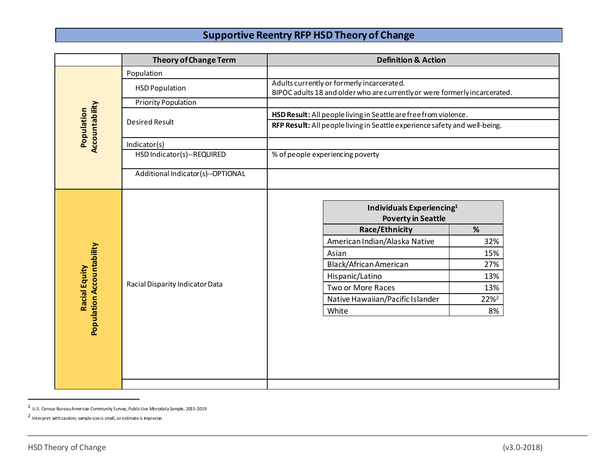## **Supportive Reentry RFP HSD Theory of Change**

|                                                          | <b>Theory of Change Term</b>      | <b>Definition &amp; Action</b>                                                                                           |
|----------------------------------------------------------|-----------------------------------|--------------------------------------------------------------------------------------------------------------------------|
| Accountability<br>Population                             | Population                        |                                                                                                                          |
|                                                          | <b>HSD Population</b>             | Adults currently or formerly incarcerated.<br>BIPOC adults 18 and older who are currently or were formerly incarcerated. |
|                                                          | <b>Priority Population</b>        |                                                                                                                          |
|                                                          | <b>Desired Result</b>             | HSD Result: All people living in Seattle are free from violence.                                                         |
|                                                          |                                   | RFP Result: All people living in Seattle experience safety and well-being.                                               |
|                                                          | Indicator(s)                      |                                                                                                                          |
|                                                          | HSD Indicator(s)--REQUIRED        | % of people experiencing poverty                                                                                         |
|                                                          | Additional Indicator(s)--OPTIONAL |                                                                                                                          |
| <b>Population Accountability</b><br><b>Racial Equity</b> | Racial Disparity Indicator Data   | Individuals Experiencing <sup>1</sup><br><b>Poverty in Seattle</b>                                                       |
|                                                          |                                   | Race/Ethnicity<br>$\%$                                                                                                   |
|                                                          |                                   | American Indian/Alaska Native<br>32%                                                                                     |
|                                                          |                                   | Asian<br>15%                                                                                                             |
|                                                          |                                   | Black/African American<br>27%                                                                                            |
|                                                          |                                   | Hispanic/Latino<br>13%                                                                                                   |
|                                                          |                                   | Two or More Races<br>13%                                                                                                 |
|                                                          |                                   | Native Hawaiian/Pacific Islander<br>22% <sup>2</sup>                                                                     |
|                                                          |                                   | White<br>8%                                                                                                              |
|                                                          |                                   |                                                                                                                          |

<sup>1</sup> U.S. Census Bureau American Community Survey, Public Use Microdata Sample, 2015-2019

<sup>2</sup> Interpret with caution; sample size is small, so estimate is imprecise.